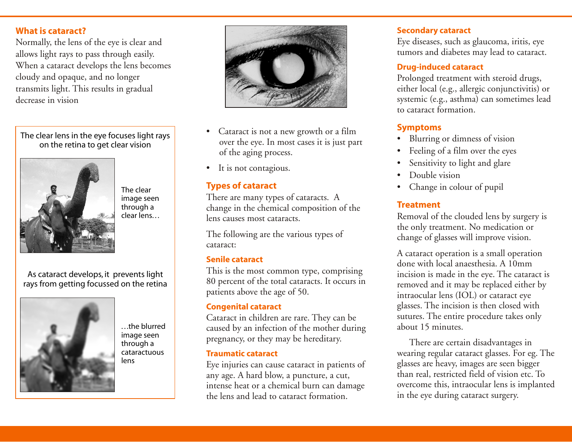#### **What is cataract?**

Normally, the lens of the eye is clear and allows light rays to pass through easily. When a cataract develops the lens becomes cloudy and opaque, and no longer transmits light. This results in gradual decrease in vision

The clear lens in the eye focuses light rays on the retina to get clear vision



The clear image seen through a clear lens. . .

As cataract develops, it prevents light rays from getting focussed on the retina



. . .the blurred image seen through a cataractuous lens



- Cataract is not a new growth or a film over the eye. In most cases it is just part of the aging process.
- It is not contagious.

#### **Types of cataract**

There are many types of cataracts. A change in the chemical composition of the lens causes most cataracts.

The following are the various types of cataract:

#### **Senile cataract**

This is the most common type, comprising 80 percent of the total cataracts. It occurs in patients above the age of 50.

#### **Congenital cataract**

Cataract in children are rare. They can be caused by an infection of the mother during pregnancy, or they may be hereditary.

#### **Traumatic cataract**

Eye injuries can cause cataract in patients of any age. A hard blow, a puncture, a cut, intense heat or a chemical burn can damage the lens and lead to cataract formation.

#### **Secondary cataract**

Eye diseases, such as glaucoma, iritis, eye tumors and diabetes may lead to cataract.

#### **Drug-induced cataract**

Prolonged treatment with steroid drugs, either local (e.g., allergic conjunctivitis) or systemic (e.g., asthma) can sometimes lead to cataract formation.

#### **Symptoms**

- Blurring or dimness of vision
- Feeling of a film over the eyes
- Sensitivity to light and glare
- Double vision
- Change in colour of pupil

### **Treatment**

Removal of the clouded lens by surgery is the only treatment. No medication or change of glasses will improve vision.

A cataract operation is a small operation done with local anaesthesia. A 10mm incision is made in the eye. The cataract is removed and it may be replaced either by intraocular lens (IOL) or cataract eye glasses. The incision is then closed with sutures. The entire procedure takes only about 15 minutes.

There are certain disadvantages in wearing regular cataract glasses. For eg. The glasses are heavy, images are seen bigger than real, restricted field of vision etc. To overcome this, intraocular lens is implanted in the eye during cataract surgery.